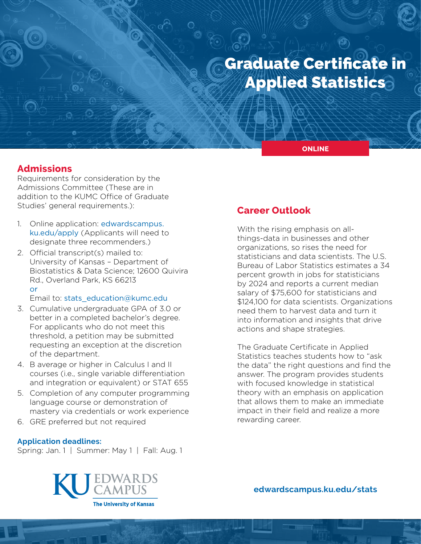# Graduate Certificate in Applied Statistics

**ONLINE**

## **Admissions**

Requirements for consideration by the Admissions Committee (These are in addition to the KUMC Office of Graduate Studies' general requirements.):

- 1. Online application: [edwardscampus.](https://edwardscampus.ku.edu/apply) [ku.edu/apply](https://edwardscampus.ku.edu/apply) (Applicants will need to designate three recommenders.)
- 2. Official transcript(s) mailed to: University of Kansas – Department of Biostatistics & Data Science; 12600 Quivira Rd., Overland Park, KS 66213 or

Email to: [stats\\_education@kumc.edu](mailto:stats_education%40kumc.edu?subject=)

- 3. Cumulative undergraduate GPA of 3.0 or better in a completed bachelor's degree. For applicants who do not meet this threshold, a petition may be submitted requesting an exception at the discretion of the department.
- 4. B average or higher in Calculus I and II courses (i.e., single variable differentiation and integration or equivalent) or STAT 655
- 5. Completion of any computer programming language course or demonstration of mastery via credentials or work experience
- 6. GRE preferred but not required

#### **Application deadlines:**

Spring: Jan. 1 | Summer: May 1 | Fall: Aug. 1

# EDWARDS<br>CAMPUS **The University of Kansas**

## **Career Outlook**

With the rising emphasis on allthings-data in businesses and other organizations, so rises the need for statisticians and data scientists. The U.S. Bureau of Labor Statistics estimates a 34 percent growth in jobs for statisticians by 2024 and reports a current median salary of \$75,600 for statisticians and \$124,100 for data scientists. Organizations need them to harvest data and turn it into information and insights that drive actions and shape strategies.

The Graduate Certificate in Applied Statistics teaches students how to "ask the data" the right questions and find the answer. The program provides students with focused knowledge in statistical theory with an emphasis on application that allows them to make an immediate impact in their field and realize a more rewarding career.

**[edwardscampus.ku.edu/s](https://edwardscampus.ku.edu/overview-masters-applied-statistics-analytics)tats**